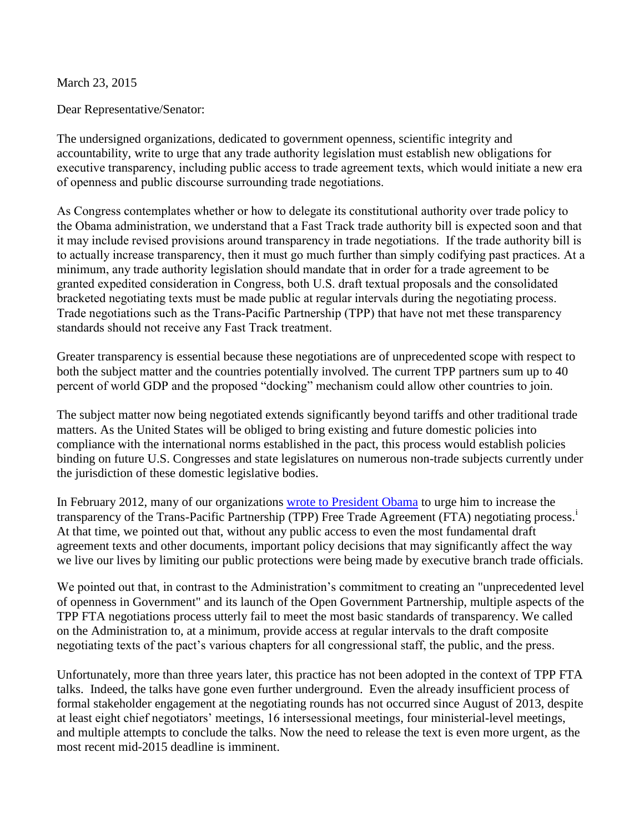March 23, 2015

Dear Representative/Senator:

The undersigned organizations, dedicated to government openness, scientific integrity and accountability, write to urge that any trade authority legislation must establish new obligations for executive transparency, including public access to trade agreement texts, which would initiate a new era of openness and public discourse surrounding trade negotiations.

As Congress contemplates whether or how to delegate its constitutional authority over trade policy to the Obama administration, we understand that a Fast Track trade authority bill is expected soon and that it may include revised provisions around transparency in trade negotiations. If the trade authority bill is to actually increase transparency, then it must go much further than simply codifying past practices. At a minimum, any trade authority legislation should mandate that in order for a trade agreement to be granted expedited consideration in Congress, both U.S. draft textual proposals and the consolidated bracketed negotiating texts must be made public at regular intervals during the negotiating process. Trade negotiations such as the Trans-Pacific Partnership (TPP) that have not met these transparency standards should not receive any Fast Track treatment.

Greater transparency is essential because these negotiations are of unprecedented scope with respect to both the subject matter and the countries potentially involved. The current TPP partners sum up to 40 percent of world GDP and the proposed "docking" mechanism could allow other countries to join.

The subject matter now being negotiated extends significantly beyond tariffs and other traditional trade matters. As the United States will be obliged to bring existing and future domestic policies into compliance with the international norms established in the pact, this process would establish policies binding on future U.S. Congresses and state legislatures on numerous non-trade subjects currently under the jurisdiction of these domestic legislative bodies.

In February 2012, many of our organizations [wrote to President Obama](http://pogoarchives.org/m/gs/transparency-trade-negotiations-20120228.pdf) to urge him to increase the transparency of the Trans-Pacific Partnership (TPP) Free Trade Agreement (FTA) negotiating process.<sup>i</sup> At that time, we pointed out that, without any public access to even the most fundamental draft agreement texts and other documents, important policy decisions that may significantly affect the way we live our lives by limiting our public protections were being made by executive branch trade officials.

We pointed out that, in contrast to the Administration's commitment to creating an "unprecedented level of openness in Government" and its launch of the Open Government Partnership, multiple aspects of the TPP FTA negotiations process utterly fail to meet the most basic standards of transparency. We called on the Administration to, at a minimum, provide access at regular intervals to the draft composite negotiating texts of the pact's various chapters for all congressional staff, the public, and the press.

Unfortunately, more than three years later, this practice has not been adopted in the context of TPP FTA talks. Indeed, the talks have gone even further underground. Even the already insufficient process of formal stakeholder engagement at the negotiating rounds has not occurred since August of 2013, despite at least eight chief negotiators' meetings, 16 intersessional meetings, four ministerial-level meetings, and multiple attempts to conclude the talks. Now the need to release the text is even more urgent, as the most recent mid-2015 deadline is imminent.